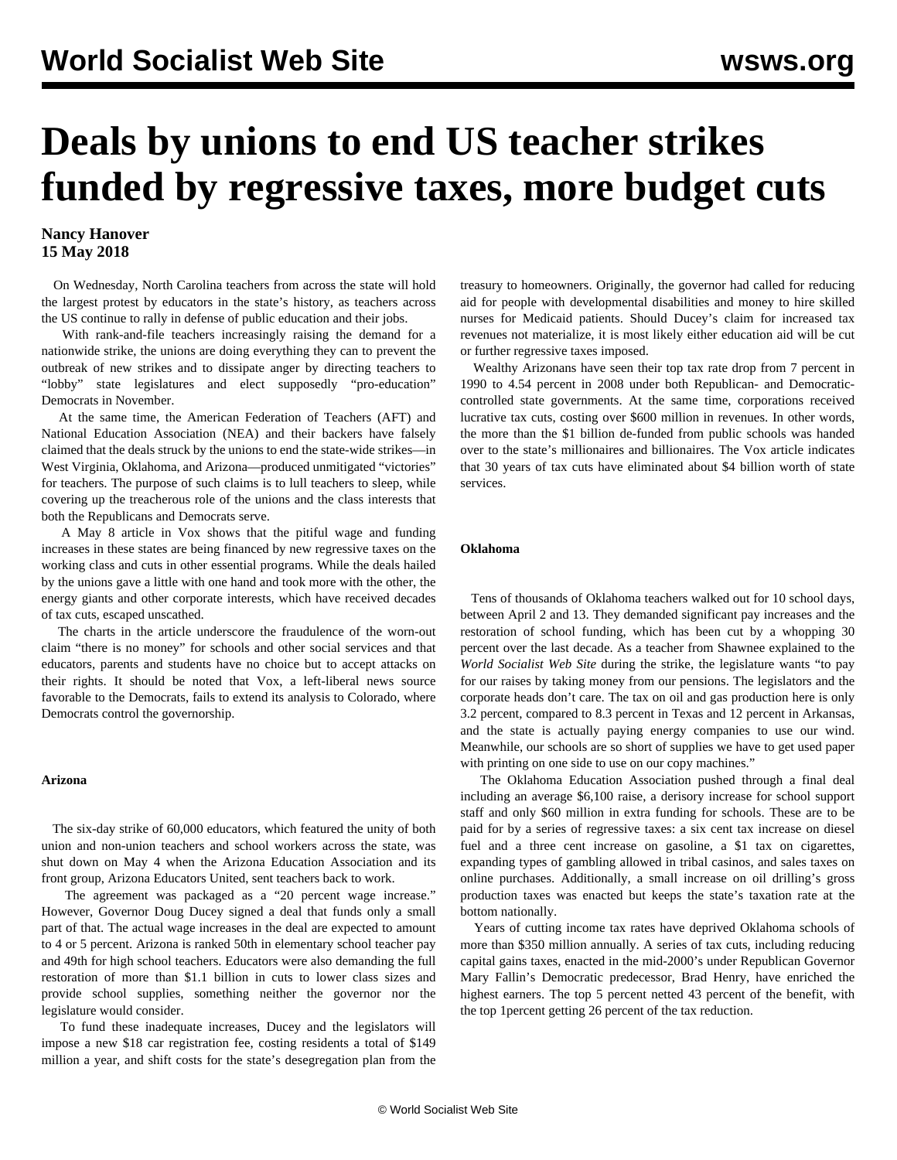# **Deals by unions to end US teacher strikes funded by regressive taxes, more budget cuts**

### **Nancy Hanover 15 May 2018**

 On Wednesday, North Carolina teachers from across the state will hold the largest protest by educators in the state's history, as teachers across the US continue to rally in defense of public education and their jobs.

 With rank-and-file teachers increasingly raising the demand for a nationwide strike, the unions are doing everything they can to prevent the outbreak of new strikes and to dissipate anger by directing teachers to "lobby" state legislatures and elect supposedly "pro-education" Democrats in November.

 At the same time, the American Federation of Teachers (AFT) and National Education Association (NEA) and their backers have falsely claimed that the deals struck by the unions to end the state-wide strikes—in West Virginia, Oklahoma, and Arizona—produced unmitigated "victories" for teachers. The purpose of such claims is to lull teachers to sleep, while covering up the treacherous role of the unions and the class interests that both the Republicans and Democrats serve.

 A May 8 article in Vox shows that the pitiful wage and funding increases in these states are being financed by new regressive taxes on the working class and cuts in other essential programs. While the deals hailed by the unions gave a little with one hand and took more with the other, the energy giants and other corporate interests, which have received decades of tax cuts, escaped unscathed.

 The charts in the article underscore the fraudulence of the worn-out claim "there is no money" for schools and other social services and that educators, parents and students have no choice but to accept attacks on their rights. It should be noted that Vox, a left-liberal news source favorable to the Democrats, fails to extend its analysis to Colorado, where Democrats control the governorship.

#### **Arizona**

 The six-day strike of 60,000 educators, which featured the unity of both union and non-union teachers and school workers across the state, was shut down on May 4 when the Arizona Education Association and its front group, Arizona Educators United, sent teachers back to work.

 The agreement was packaged as a "20 percent wage increase." However, Governor Doug Ducey signed a deal that funds only a small part of that. The actual wage increases in the deal are expected to amount to 4 or 5 percent. Arizona is ranked 50th in elementary school teacher pay and 49th for high school teachers. Educators were also demanding the full restoration of more than \$1.1 billion in cuts to lower class sizes and provide school supplies, something neither the governor nor the legislature would consider.

 To fund these inadequate increases, Ducey and the legislators will impose a new \$18 car registration fee, costing residents a total of \$149 million a year, and shift costs for the state's desegregation plan from the treasury to homeowners. Originally, the governor had called for reducing aid for people with developmental disabilities and money to hire skilled nurses for Medicaid patients. Should Ducey's claim for increased tax revenues not materialize, it is most likely either education aid will be cut or further regressive taxes imposed.

 Wealthy Arizonans have seen their top tax rate drop from 7 percent in 1990 to 4.54 percent in 2008 under both Republican- and Democraticcontrolled state governments. At the same time, corporations received lucrative tax cuts, costing over \$600 million in revenues. In other words, the more than the \$1 billion de-funded from public schools was handed over to the state's millionaires and billionaires. The Vox article indicates that 30 years of tax cuts have eliminated about \$4 billion worth of state services.

#### **Oklahoma**

 Tens of thousands of Oklahoma teachers walked out for 10 school days, between April 2 and 13. They demanded significant pay increases and the restoration of school funding, which has been cut by a whopping 30 percent over the last decade. As a teacher from Shawnee explained to the *World Socialist Web Site* during the strike, the legislature wants "to pay for our raises by taking money from our pensions. The legislators and the corporate heads don't care. The tax on oil and gas production here is only 3.2 percent, compared to 8.3 percent in Texas and 12 percent in Arkansas, and the state is actually paying energy companies to use our wind. Meanwhile, our schools are so short of supplies we have to get used paper with printing on one side to use on our copy machines."

 The Oklahoma Education Association pushed through a final deal including an average \$6,100 raise, a derisory increase for school support staff and only \$60 million in extra funding for schools. These are to be paid for by a series of regressive taxes: a six cent tax increase on diesel fuel and a three cent increase on gasoline, a \$1 tax on cigarettes, expanding types of gambling allowed in tribal casinos, and sales taxes on online purchases. Additionally, a small increase on oil drilling's gross production taxes was enacted but keeps the state's taxation rate at the bottom nationally.

 Years of cutting income tax rates have deprived Oklahoma schools of more than \$350 million annually. A series of tax cuts, including reducing capital gains taxes, enacted in the mid-2000's under Republican Governor Mary Fallin's Democratic predecessor, Brad Henry, have enriched the highest earners. The top 5 percent netted 43 percent of the benefit, with the top 1percent getting 26 percent of the tax reduction.